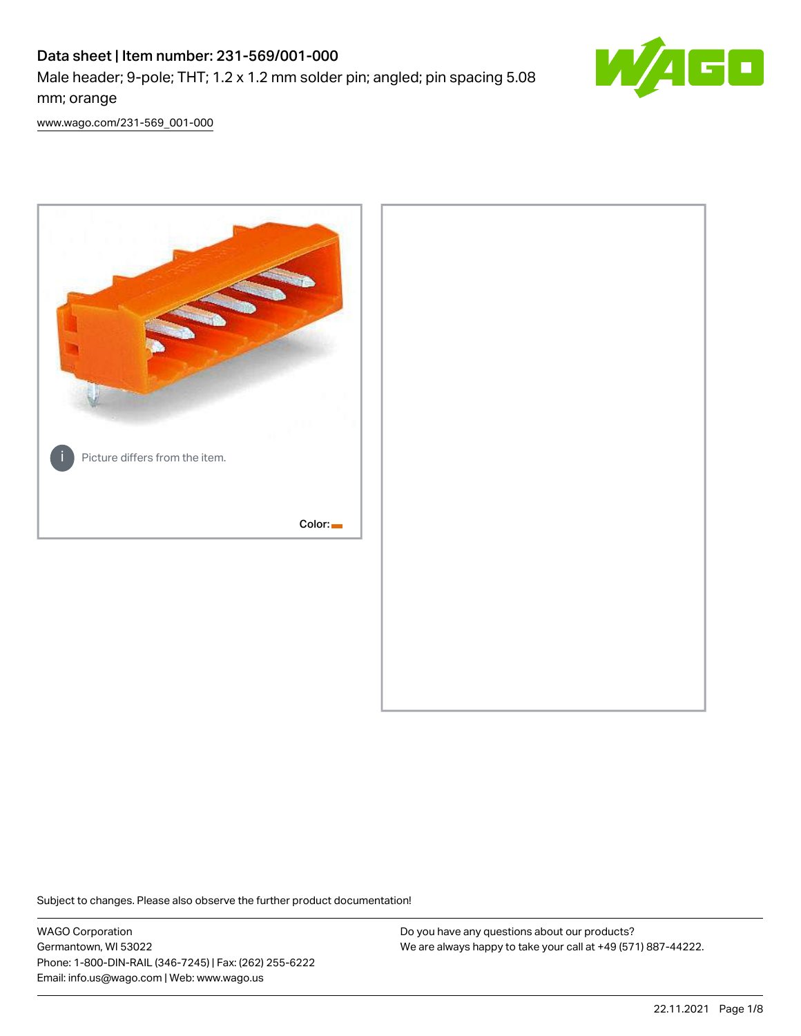# Data sheet | Item number: 231-569/001-000 Male header; 9-pole; THT; 1.2 x 1.2 mm solder pin; angled; pin spacing 5.08 mm; orange



[www.wago.com/231-569\\_001-000](http://www.wago.com/231-569_001-000)



Subject to changes. Please also observe the further product documentation!

WAGO Corporation Germantown, WI 53022 Phone: 1-800-DIN-RAIL (346-7245) | Fax: (262) 255-6222 Email: info.us@wago.com | Web: www.wago.us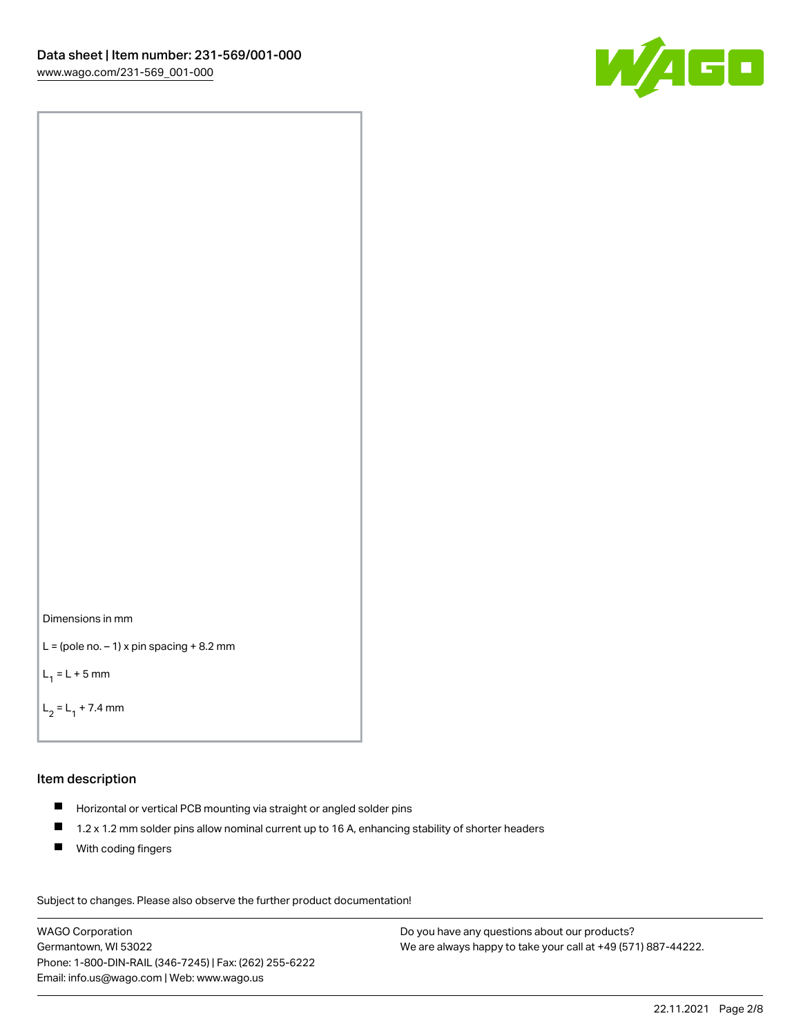



```
L = (pole no. -1) x pin spacing +8.2 mm
```
 $L_1 = L + 5$  mm

```
L_2 = L_1 + 7.4 mm
```
#### Item description

- Horizontal or vertical PCB mounting via straight or angled solder pins
- $\blacksquare$ 1.2 x 1.2 mm solder pins allow nominal current up to 16 A, enhancing stability of shorter headers
- **With coding fingers**

Subject to changes. Please also observe the further product documentation! Data

WAGO Corporation Germantown, WI 53022 Phone: 1-800-DIN-RAIL (346-7245) | Fax: (262) 255-6222 Email: info.us@wago.com | Web: www.wago.us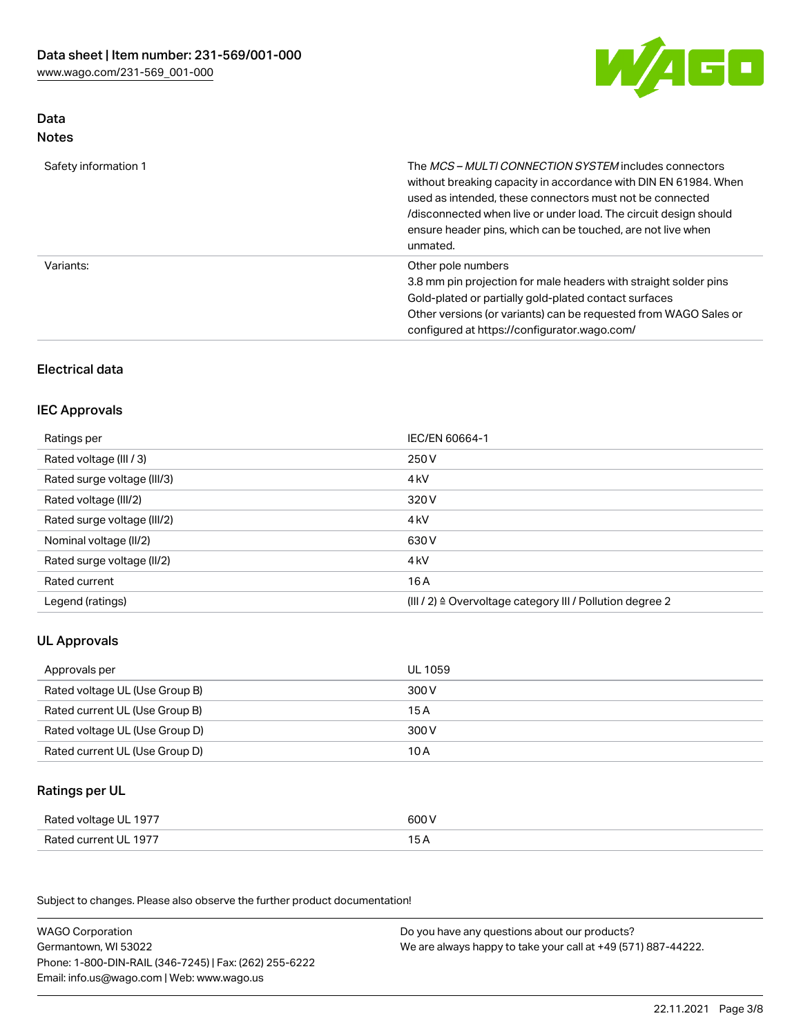

### Data Notes

| Safety information 1 | The <i>MCS – MULTI CONNECTION SYSTEM</i> includes connectors<br>without breaking capacity in accordance with DIN EN 61984. When<br>used as intended, these connectors must not be connected<br>/disconnected when live or under load. The circuit design should<br>ensure header pins, which can be touched, are not live when<br>unmated. |
|----------------------|--------------------------------------------------------------------------------------------------------------------------------------------------------------------------------------------------------------------------------------------------------------------------------------------------------------------------------------------|
| Variants:            | Other pole numbers<br>3.8 mm pin projection for male headers with straight solder pins<br>Gold-plated or partially gold-plated contact surfaces<br>Other versions (or variants) can be requested from WAGO Sales or<br>configured at https://configurator.wago.com/                                                                        |

# Electrical data

# IEC Approvals

| Ratings per                 | IEC/EN 60664-1                                                        |
|-----------------------------|-----------------------------------------------------------------------|
| Rated voltage (III / 3)     | 250 V                                                                 |
| Rated surge voltage (III/3) | 4 <sub>k</sub> V                                                      |
| Rated voltage (III/2)       | 320 V                                                                 |
| Rated surge voltage (III/2) | 4 <sub>k</sub> V                                                      |
| Nominal voltage (II/2)      | 630 V                                                                 |
| Rated surge voltage (II/2)  | 4 <sub>k</sub> V                                                      |
| Rated current               | 16 A                                                                  |
| Legend (ratings)            | $(III / 2)$ $\triangle$ Overvoltage category III / Pollution degree 2 |

# UL Approvals

| Approvals per                  | UL 1059 |
|--------------------------------|---------|
| Rated voltage UL (Use Group B) | 300 V   |
| Rated current UL (Use Group B) | 15 A    |
| Rated voltage UL (Use Group D) | 300 V   |
| Rated current UL (Use Group D) | 10 A    |

### Ratings per UL

| Rated voltage UL 1977 | 600 V |
|-----------------------|-------|
| Rated current UL 1977 |       |

Subject to changes. Please also observe the further product documentation!

| <b>WAGO Corporation</b>                                | Do you have any questions about our products?                 |
|--------------------------------------------------------|---------------------------------------------------------------|
| Germantown, WI 53022                                   | We are always happy to take your call at +49 (571) 887-44222. |
| Phone: 1-800-DIN-RAIL (346-7245)   Fax: (262) 255-6222 |                                                               |
| Email: info.us@wago.com   Web: www.wago.us             |                                                               |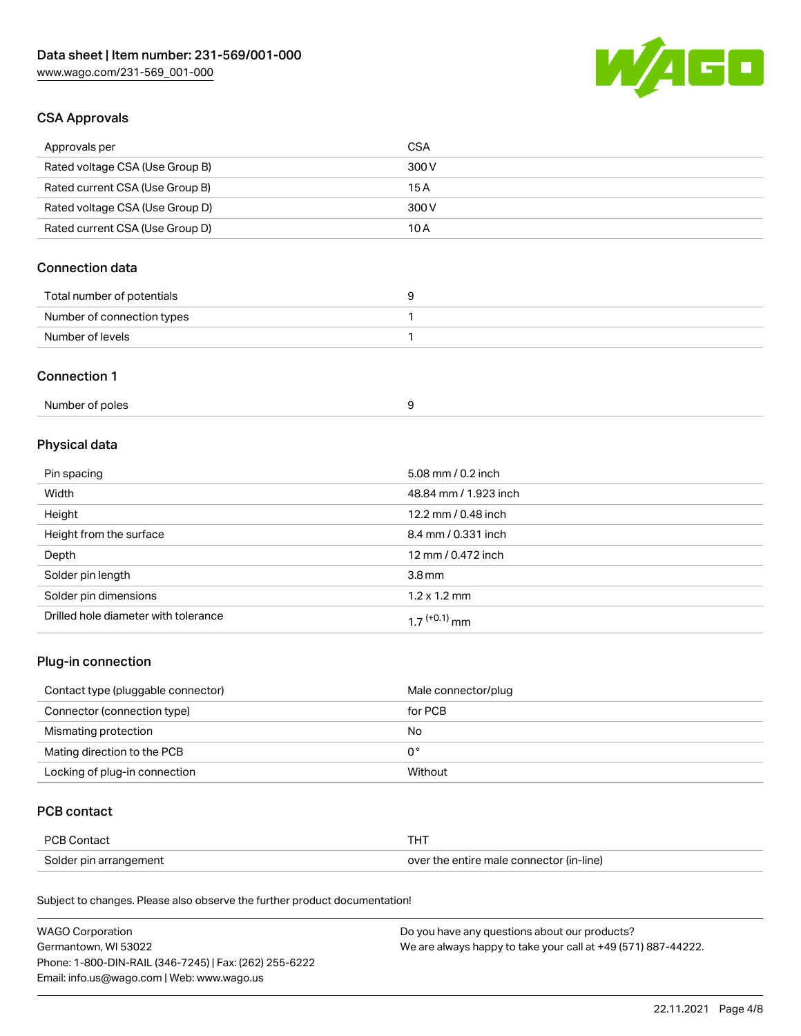

## CSA Approvals

| Approvals per                   | CSA   |
|---------------------------------|-------|
| Rated voltage CSA (Use Group B) | 300 V |
| Rated current CSA (Use Group B) | 15 A  |
| Rated voltage CSA (Use Group D) | 300 V |
| Rated current CSA (Use Group D) | 10 A  |

# Connection data

| Total number of potentials |  |
|----------------------------|--|
| Number of connection types |  |
| Number of levels           |  |

#### Connection 1

| Number of poles |  |  |
|-----------------|--|--|
|-----------------|--|--|

# Physical data

| Pin spacing                          | 5.08 mm / 0.2 inch    |
|--------------------------------------|-----------------------|
| Width                                | 48.84 mm / 1.923 inch |
| Height                               | 12.2 mm / 0.48 inch   |
| Height from the surface              | 8.4 mm / 0.331 inch   |
| Depth                                | 12 mm / 0.472 inch    |
| Solder pin length                    | 3.8 <sub>mm</sub>     |
| Solder pin dimensions                | $1.2 \times 1.2$ mm   |
| Drilled hole diameter with tolerance | $17^{(+0.1)}$ mm      |

# Plug-in connection

| Contact type (pluggable connector) | Male connector/plug |
|------------------------------------|---------------------|
| Connector (connection type)        | for PCB             |
| Mismating protection               | No                  |
| Mating direction to the PCB        | 0°                  |
| Locking of plug-in connection      | Without             |

### PCB contact

| <b>PCB Contact</b>     | <b>THT</b>                               |
|------------------------|------------------------------------------|
| Solder pin arrangement | over the entire male connector (in-line) |

Subject to changes. Please also observe the further product documentation!

| <b>WAGO Corporation</b>                                | Do you have any questions about our products?                 |
|--------------------------------------------------------|---------------------------------------------------------------|
| Germantown, WI 53022                                   | We are always happy to take your call at +49 (571) 887-44222. |
| Phone: 1-800-DIN-RAIL (346-7245)   Fax: (262) 255-6222 |                                                               |
| Email: info.us@wago.com   Web: www.wago.us             |                                                               |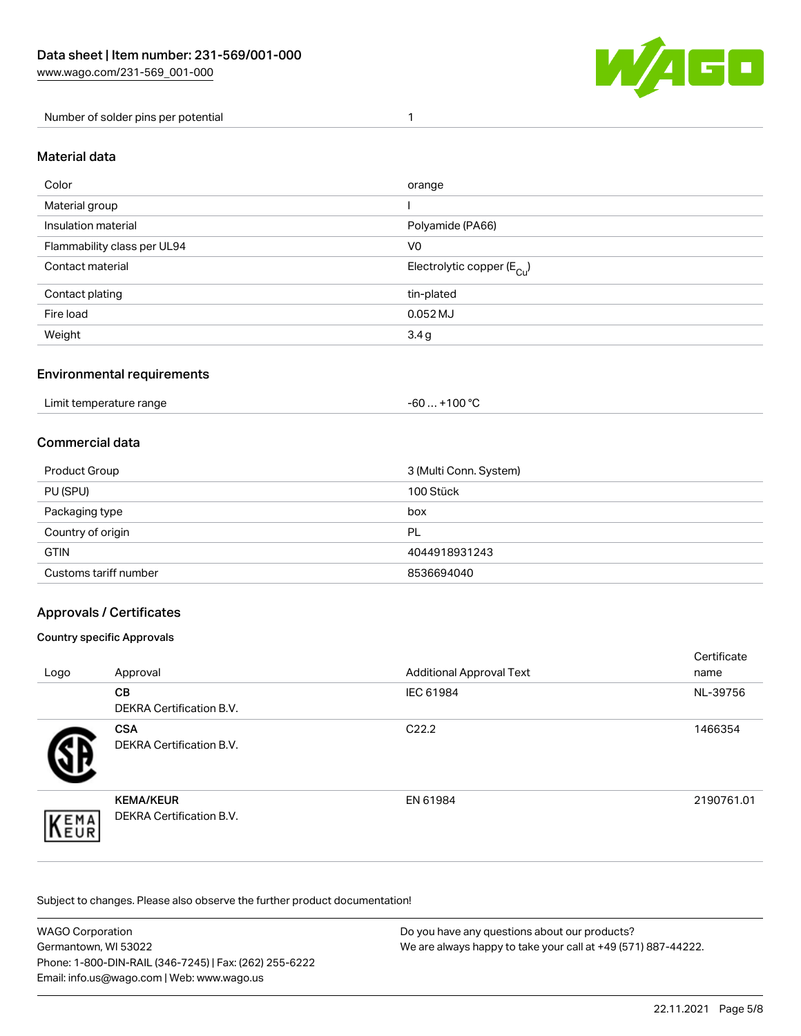

Number of solder pins per potential 1

#### Material data

| Color                       | orange                                 |
|-----------------------------|----------------------------------------|
| Material group              |                                        |
| Insulation material         | Polyamide (PA66)                       |
| Flammability class per UL94 | V <sub>0</sub>                         |
| Contact material            | Electrolytic copper (E <sub>Cu</sub> ) |
| Contact plating             | tin-plated                             |
| Fire load                   | $0.052$ MJ                             |
| Weight                      | 3.4g                                   |

### Environmental requirements

Limit temperature range  $-60... +100$  °C

### Commercial data

| Product Group         | 3 (Multi Conn. System) |
|-----------------------|------------------------|
| PU (SPU)              | 100 Stück              |
| Packaging type        | box                    |
| Country of origin     | PL                     |
| <b>GTIN</b>           | 4044918931243          |
| Customs tariff number | 8536694040             |

### Approvals / Certificates

#### Country specific Approvals

| Logo               | Approval                                            | <b>Additional Approval Text</b> | Certificate<br>name |
|--------------------|-----------------------------------------------------|---------------------------------|---------------------|
|                    | <b>CB</b><br><b>DEKRA Certification B.V.</b>        | IEC 61984                       | NL-39756            |
|                    | <b>CSA</b><br>DEKRA Certification B.V.              | C <sub>22.2</sub>               | 1466354             |
| EMA<br><b>NEUR</b> | <b>KEMA/KEUR</b><br><b>DEKRA Certification B.V.</b> | EN 61984                        | 2190761.01          |

Subject to changes. Please also observe the further product documentation!

| WAGO Corporation                                       | Do you have any questions about our products?                 |
|--------------------------------------------------------|---------------------------------------------------------------|
| Germantown, WI 53022                                   | We are always happy to take your call at +49 (571) 887-44222. |
| Phone: 1-800-DIN-RAIL (346-7245)   Fax: (262) 255-6222 |                                                               |
| Email: info.us@wago.com   Web: www.wago.us             |                                                               |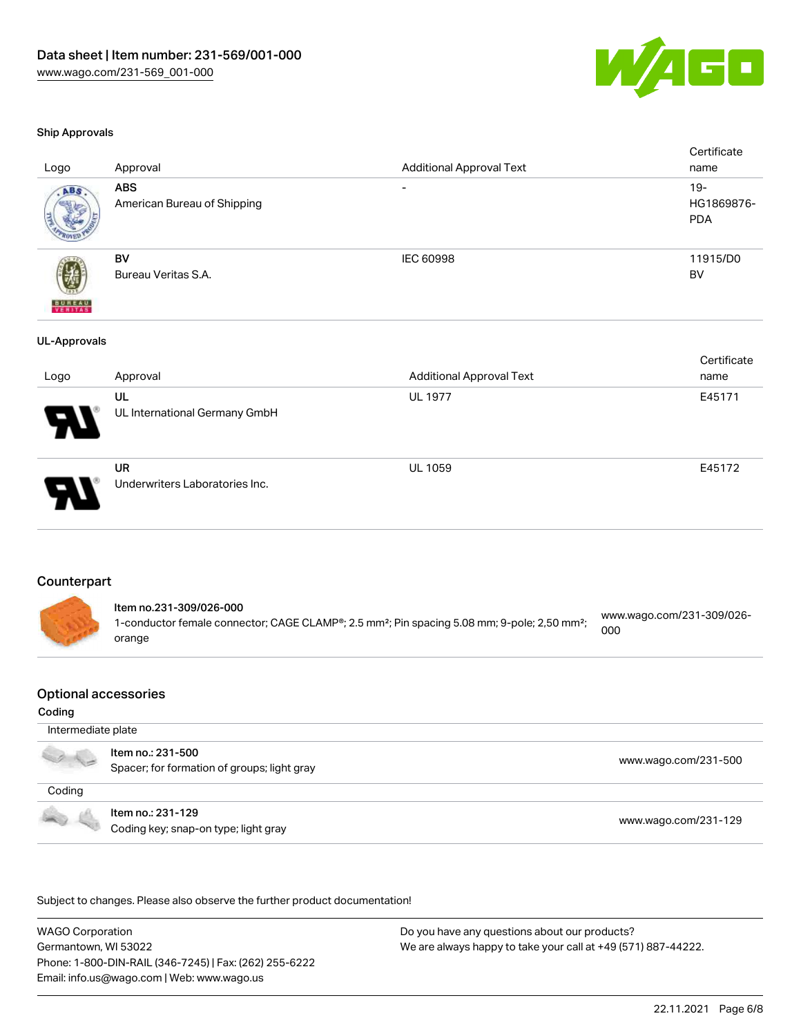

#### Ship Approvals

| Logo                     | Approval                                  | <b>Additional Approval Text</b> | Certificate<br>name                |
|--------------------------|-------------------------------------------|---------------------------------|------------------------------------|
| ABS                      | <b>ABS</b><br>American Bureau of Shipping | $\overline{\phantom{a}}$        | $19 -$<br>HG1869876-<br><b>PDA</b> |
| <b>BUREAU</b><br>VERITAS | BV<br>Bureau Veritas S.A.                 | IEC 60998                       | 11915/D0<br><b>BV</b>              |
| <b>UL-Approvals</b>      |                                           |                                 |                                    |
|                          |                                           |                                 | Certificate                        |
| Logo                     | Approval                                  | <b>Additional Approval Text</b> | name                               |
|                          | UL<br>UL International Germany GmbH       | UL 1977                         | E45171                             |
|                          | UR<br>Underwriters Laboratories Inc.      | <b>UL 1059</b>                  | E45172                             |

### Counterpart

| ltem no.231-309/026-000                                                                                              |                                  |
|----------------------------------------------------------------------------------------------------------------------|----------------------------------|
| 1-conductor female connector; CAGE CLAMP®; 2.5 mm <sup>2</sup> ; Pin spacing 5.08 mm; 9-pole; 2,50 mm <sup>2</sup> ; | www.wago.com/231-309/026-<br>000 |
| orange                                                                                                               |                                  |

#### Optional accessories

#### Coding

|        | Intermediate plate                                               |                      |
|--------|------------------------------------------------------------------|----------------------|
|        | Item no.: 231-500<br>Spacer; for formation of groups; light gray | www.wago.com/231-500 |
| Coding |                                                                  |                      |
|        | Item no.: 231-129<br>Coding key; snap-on type; light gray        | www.wago.com/231-129 |

.<br>Subject to changes. Please also observe the further product documentation!

WAGO Corporation Germantown, WI 53022 Phone: 1-800-DIN-RAIL (346-7245) | Fax: (262) 255-6222 Email: info.us@wago.com | Web: www.wago.us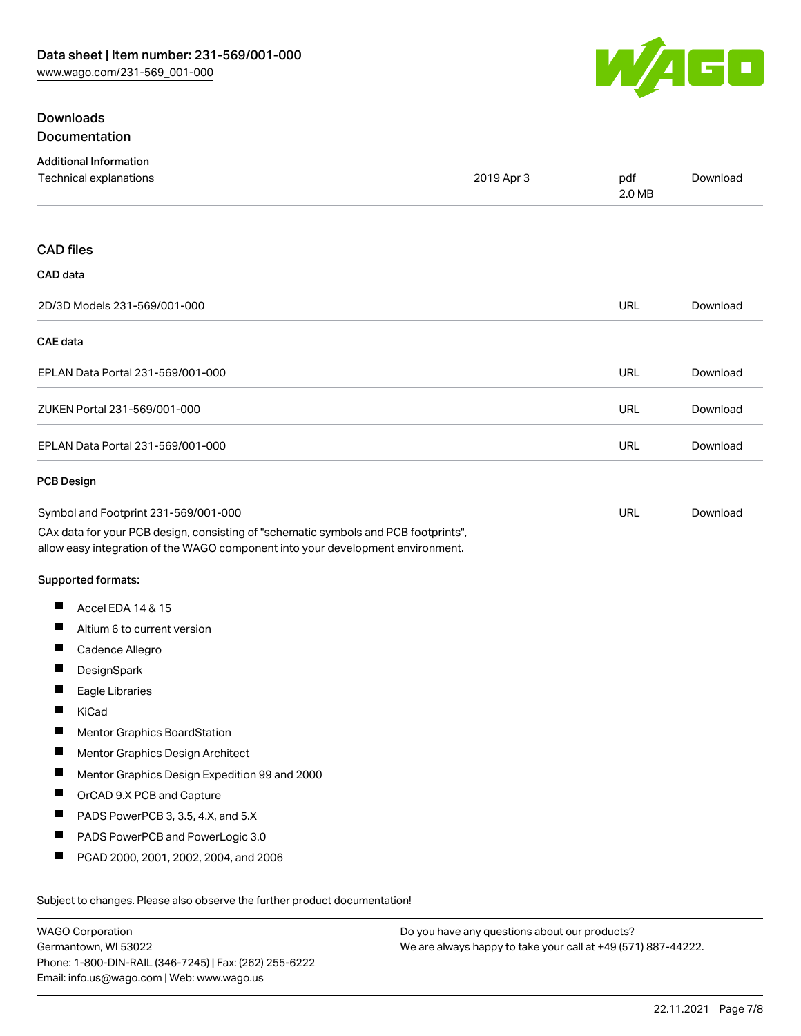

# **Downloads** Documentation

| <b>Additional Information</b><br>Technical explanations                                                                                                                | 2019 Apr 3 | pdf        | Download |
|------------------------------------------------------------------------------------------------------------------------------------------------------------------------|------------|------------|----------|
|                                                                                                                                                                        |            | 2.0 MB     |          |
| <b>CAD</b> files                                                                                                                                                       |            |            |          |
| CAD data                                                                                                                                                               |            |            |          |
| 2D/3D Models 231-569/001-000                                                                                                                                           |            | URL        | Download |
| <b>CAE</b> data                                                                                                                                                        |            |            |          |
| EPLAN Data Portal 231-569/001-000                                                                                                                                      |            | <b>URL</b> | Download |
| ZUKEN Portal 231-569/001-000                                                                                                                                           |            | <b>URL</b> | Download |
| EPLAN Data Portal 231-569/001-000                                                                                                                                      |            | <b>URL</b> | Download |
| <b>PCB Design</b>                                                                                                                                                      |            |            |          |
| Symbol and Footprint 231-569/001-000                                                                                                                                   |            | URL        | Download |
| CAx data for your PCB design, consisting of "schematic symbols and PCB footprints",<br>allow easy integration of the WAGO component into your development environment. |            |            |          |
| Supported formats:                                                                                                                                                     |            |            |          |
| Ш<br>Accel EDA 14 & 15                                                                                                                                                 |            |            |          |
| Ш<br>Altium 6 to current version                                                                                                                                       |            |            |          |
| Ш<br>Cadence Allegro                                                                                                                                                   |            |            |          |
| DesignSpark                                                                                                                                                            |            |            |          |
| Ш<br>Eagle Libraries                                                                                                                                                   |            |            |          |
| Ш<br>KiCad                                                                                                                                                             |            |            |          |
| H<br>Mentor Graphics BoardStation                                                                                                                                      |            |            |          |
| Ц<br>Mentor Graphics Design Architect                                                                                                                                  |            |            |          |
| п<br>Mentor Graphics Design Expedition 99 and 2000                                                                                                                     |            |            |          |
| ш<br>OrCAD 9.X PCB and Capture                                                                                                                                         |            |            |          |
| Ш<br>PADS PowerPCB 3, 3.5, 4.X, and 5.X                                                                                                                                |            |            |          |
| ш<br>PADS PowerPCB and PowerLogic 3.0                                                                                                                                  |            |            |          |
| Ш<br>PCAD 2000, 2001, 2002, 2004, and 2006                                                                                                                             |            |            |          |
|                                                                                                                                                                        |            |            |          |
| Subject to changes. Please also observe the further product documentation!                                                                                             |            |            |          |

WAGO Corporation Germantown, WI 53022 Phone: 1-800-DIN-RAIL (346-7245) | Fax: (262) 255-6222 Email: info.us@wago.com | Web: www.wago.us